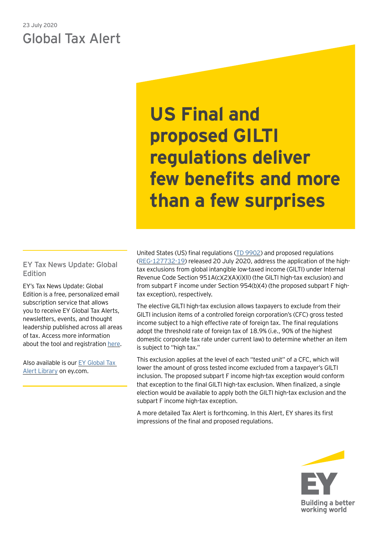# 23 July 2020 Global Tax Alert

**US Final and proposed GILTI regulations deliver few benefits and more than a few surprises**

EY Tax News Update: Global Edition

EY's Tax News Update: Global Edition is a free, personalized email subscription service that allows you to receive EY Global Tax Alerts, newsletters, events, and thought leadership published across all areas of tax. Access more information about the tool and registration [here.](https://www.ey.com/gl/en/services/tax/sign-up-for-ey-tax-news-update-global-edition)

Also available is our [EY Global Tax](https://www.ey.com/gl/en/services/tax/international-tax/tax-alert-library)  [Alert Library](https://www.ey.com/gl/en/services/tax/international-tax/tax-alert-library) on ey.com.

United States (US) final regulations ([TD 9902](https://s3.amazonaws.com/public-inspection.federalregister.gov/2020-15351.pdf)) and proposed regulations ([REG-127732-19](https://s3.amazonaws.com/public-inspection.federalregister.gov/2020-15349.pdf)) released 20 July 2020, address the application of the hightax exclusions from global intangible low-taxed income (GILTI) under Internal Revenue Code Section 951A(c)(2)(A)(i)(II) (the GILTI high-tax exclusion) and from subpart F income under Section 954(b)(4) (the proposed subpart F hightax exception), respectively.

The elective GILTI high-tax exclusion allows taxpayers to exclude from their GILTI inclusion items of a controlled foreign corporation's (CFC) gross tested income subject to a high effective rate of foreign tax. The final regulations adopt the threshold rate of foreign tax of 18.9% (i.e., 90% of the highest domestic corporate tax rate under current law) to determine whether an item is subject to "high tax."

This exclusion applies at the level of each "tested unit" of a CFC, which will lower the amount of gross tested income excluded from a taxpayer's GILTI inclusion. The proposed subpart F income high-tax exception would conform that exception to the final GILTI high-tax exclusion. When finalized, a single election would be available to apply both the GILTI high-tax exclusion and the subpart F income high-tax exception.

A more detailed Tax Alert is forthcoming. In this Alert, EY shares its first impressions of the final and proposed regulations.

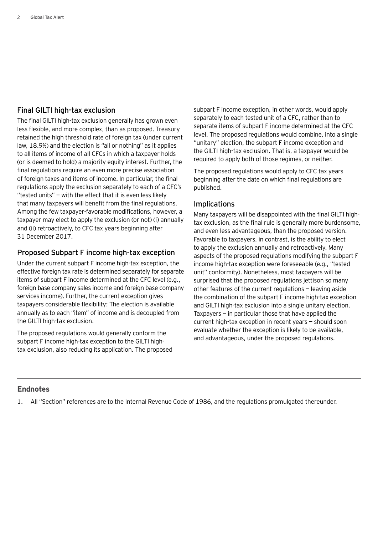## Final GILTI high-tax exclusion

The final GILTI high-tax exclusion generally has grown even less flexible, and more complex, than as proposed. Treasury retained the high threshold rate of foreign tax (under current law, 18.9%) and the election is "all or nothing" as it applies to all items of income of all CFCs in which a taxpayer holds (or is deemed to hold) a majority equity interest. Further, the final regulations require an even more precise association of foreign taxes and items of income. In particular, the final regulations apply the exclusion separately to each of a CFC's "tested units" — with the effect that it is even less likely that many taxpayers will benefit from the final regulations. Among the few taxpayer-favorable modifications, however, a taxpayer may elect to apply the exclusion (or not) (i) annually and (ii) retroactively, to CFC tax years beginning after 31 December 2017.

# Proposed Subpart F income high-tax exception

Under the current subpart F income high-tax exception, the effective foreign tax rate is determined separately for separate items of subpart F income determined at the CFC level (e.g., foreign base company sales income and foreign base company services income). Further, the current exception gives taxpayers considerable flexibility: The election is available annually as to each "item" of income and is decoupled from the GILTI high-tax exclusion.

The proposed regulations would generally conform the subpart F income high-tax exception to the GILTI hightax exclusion, also reducing its application. The proposed subpart F income exception, in other words, would apply separately to each tested unit of a CFC, rather than to separate items of subpart F income determined at the CFC level. The proposed regulations would combine, into a single "unitary" election, the subpart F income exception and the GILTI high-tax exclusion. That is, a taxpayer would be required to apply both of those regimes, or neither.

The proposed regulations would apply to CFC tax years beginning after the date on which final regulations are published.

## Implications

Many taxpayers will be disappointed with the final GILTI hightax exclusion, as the final rule is generally more burdensome, and even less advantageous, than the proposed version. Favorable to taxpayers, in contrast, is the ability to elect to apply the exclusion annually and retroactively. Many aspects of the proposed regulations modifying the subpart F income high-tax exception were foreseeable (e.g., "tested unit" conformity). Nonetheless, most taxpayers will be surprised that the proposed regulations jettison so many other features of the current regulations — leaving aside the combination of the subpart F income high-tax exception and GILTI high-tax exclusion into a single unitary election. Taxpayers  $-$  in particular those that have applied the current high-tax exception in recent years — should soon evaluate whether the exception is likely to be available, and advantageous, under the proposed regulations.

#### **Endnotes**

1. All "Section" references are to the Internal Revenue Code of 1986, and the regulations promulgated thereunder.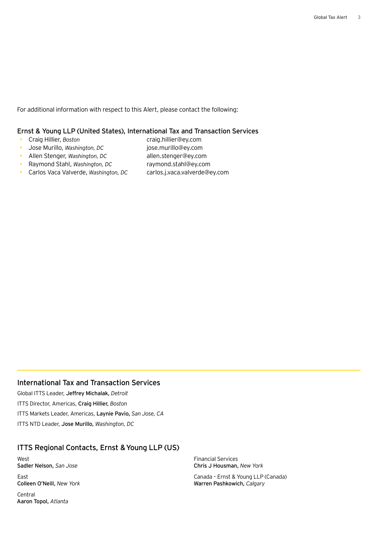For additional information with respect to this Alert, please contact the following:

#### Ernst & Young LLP (United States), International Tax and Transaction Services

- 
- Craig Hillier, *Boston* craig.hillier@ey.com
- Jose Murillo, *Washington, DC* jose.murillo@ey.com
- **•** Allen Stenger, Washington, DC allen.stenger@ey.com
- -
- Raymond Stahl, *Washington, DC* raymond.stahl@ey.com
- Carlos Vaca Valverde, *Washington, DC* carlos.j.vaca.valverde@ey.com
- 

## International Tax and Transaction Services

Global ITTS Leader, Jeffrey Michalak, *Detroit* ITTS Director, Americas, Craig Hillier, *Boston* ITTS Markets Leader, Americas, Laynie Pavio, *San Jose, CA* ITTS NTD Leader, Jose Murillo, *Washington, DC*

# ITTS Regional Contacts, Ernst & Young LLP (US)

West Sadler Nelson, *San Jose* East

Colleen O'Neill, *New York*

Central Aaron Topol, *Atlanta* Financial Services Chris J Housman, *New York*

Canada – Ernst & Young LLP (Canada) Warren Pashkowich, *Calgary*